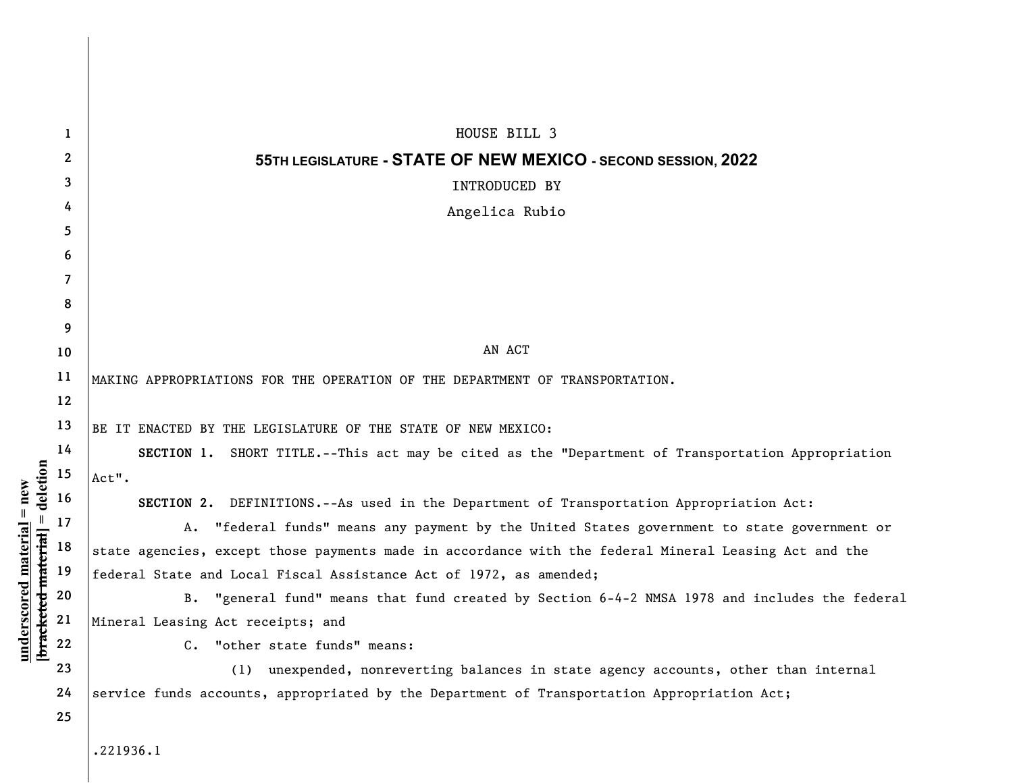|                                            | 1            | HOUSE BILL 3                                                                                          |  |  |  |  |  |  |
|--------------------------------------------|--------------|-------------------------------------------------------------------------------------------------------|--|--|--|--|--|--|
|                                            | $\mathbf{2}$ | 55TH LEGISLATURE - STATE OF NEW MEXICO - SECOND SESSION, 2022                                         |  |  |  |  |  |  |
|                                            | 3            | INTRODUCED BY                                                                                         |  |  |  |  |  |  |
|                                            | 4            | Angelica Rubio                                                                                        |  |  |  |  |  |  |
|                                            | 5            |                                                                                                       |  |  |  |  |  |  |
|                                            | 6            |                                                                                                       |  |  |  |  |  |  |
|                                            | 7            |                                                                                                       |  |  |  |  |  |  |
|                                            | 8            |                                                                                                       |  |  |  |  |  |  |
|                                            | 9            |                                                                                                       |  |  |  |  |  |  |
|                                            | 10           | AN ACT                                                                                                |  |  |  |  |  |  |
|                                            | 11           | MAKING APPROPRIATIONS FOR THE OPERATION OF THE DEPARTMENT OF TRANSPORTATION.                          |  |  |  |  |  |  |
|                                            | 12           |                                                                                                       |  |  |  |  |  |  |
|                                            | 13           | BE IT ENACTED BY THE LEGISLATURE OF THE STATE OF NEW MEXICO:                                          |  |  |  |  |  |  |
|                                            | 14           | SECTION 1. SHORT TITLE.--This act may be cited as the "Department of Transportation Appropriation     |  |  |  |  |  |  |
| deletion                                   | 15           | Act".                                                                                                 |  |  |  |  |  |  |
| $=$ new                                    | 16           | SECTION 2. DEFINITIONS.--As used in the Department of Transportation Appropriation Act:               |  |  |  |  |  |  |
| $\, \parallel$                             | 17           | A.<br>"federal funds" means any payment by the United States government to state government or        |  |  |  |  |  |  |
|                                            | 18           | state agencies, except those payments made in accordance with the federal Mineral Leasing Act and the |  |  |  |  |  |  |
|                                            | 19           | federal State and Local Fiscal Assistance Act of 1972, as amended;                                    |  |  |  |  |  |  |
| underscored material<br>bracketed material | 20           | "general fund" means that fund created by Section 6-4-2 NMSA 1978 and includes the federal<br>B.      |  |  |  |  |  |  |
|                                            | 21           | Mineral Leasing Act receipts; and                                                                     |  |  |  |  |  |  |
|                                            | 22           | C. "other state funds" means:                                                                         |  |  |  |  |  |  |
|                                            | 23           | (1) unexpended, nonreverting balances in state agency accounts, other than internal                   |  |  |  |  |  |  |
|                                            | 24           | service funds accounts, appropriated by the Department of Transportation Appropriation Act;           |  |  |  |  |  |  |
|                                            | 25           |                                                                                                       |  |  |  |  |  |  |
|                                            |              |                                                                                                       |  |  |  |  |  |  |

.221936.1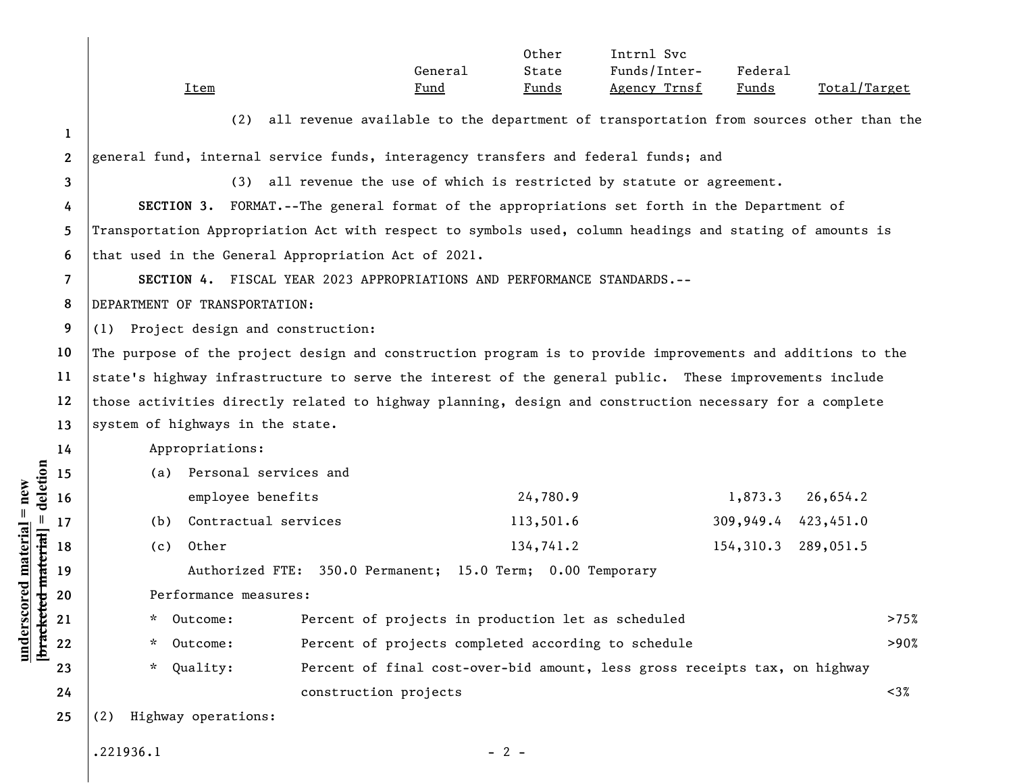|                                             |              | <b>Item</b>                                                                                                                                                      | General<br>Fund       | Other<br>State<br><u>Funds</u> | Intrnl Svc<br>Funds/Inter-<br>Agency Trnsf | Federal<br><u>Funds</u> | Total/Target |         |  |  |
|---------------------------------------------|--------------|------------------------------------------------------------------------------------------------------------------------------------------------------------------|-----------------------|--------------------------------|--------------------------------------------|-------------------------|--------------|---------|--|--|
|                                             | 1            | all revenue available to the department of transportation from sources other than the<br>(2)                                                                     |                       |                                |                                            |                         |              |         |  |  |
|                                             | $\mathbf{2}$ | general fund, internal service funds, interagency transfers and federal funds; and<br>all revenue the use of which is restricted by statute or agreement.<br>(3) |                       |                                |                                            |                         |              |         |  |  |
|                                             | 3            |                                                                                                                                                                  |                       |                                |                                            |                         |              |         |  |  |
|                                             | 4            | SECTION 3. FORMAT.--The general format of the appropriations set forth in the Department of                                                                      |                       |                                |                                            |                         |              |         |  |  |
|                                             | 5            | Transportation Appropriation Act with respect to symbols used, column headings and stating of amounts is                                                         |                       |                                |                                            |                         |              |         |  |  |
|                                             | 6            | that used in the General Appropriation Act of 2021.                                                                                                              |                       |                                |                                            |                         |              |         |  |  |
|                                             | 7            | SECTION 4. FISCAL YEAR 2023 APPROPRIATIONS AND PERFORMANCE STANDARDS.--                                                                                          |                       |                                |                                            |                         |              |         |  |  |
|                                             | 8            | DEPARTMENT OF TRANSPORTATION:                                                                                                                                    |                       |                                |                                            |                         |              |         |  |  |
|                                             | 9            | (1) Project design and construction:                                                                                                                             |                       |                                |                                            |                         |              |         |  |  |
|                                             | 10           | The purpose of the project design and construction program is to provide improvements and additions to the                                                       |                       |                                |                                            |                         |              |         |  |  |
|                                             | 11           | state's highway infrastructure to serve the interest of the general public. These improvements include                                                           |                       |                                |                                            |                         |              |         |  |  |
|                                             | 12           | those activities directly related to highway planning, design and construction necessary for a complete                                                          |                       |                                |                                            |                         |              |         |  |  |
|                                             | 13           | system of highways in the state.                                                                                                                                 |                       |                                |                                            |                         |              |         |  |  |
|                                             | 14           | Appropriations:                                                                                                                                                  |                       |                                |                                            |                         |              |         |  |  |
| deletion                                    | 15           | (a) Personal services and                                                                                                                                        |                       |                                |                                            |                         |              |         |  |  |
|                                             | 16           | employee benefits                                                                                                                                                |                       | 24,780.9                       |                                            | 1,873.3                 | 26,654.2     |         |  |  |
|                                             | 17           | Contractual services<br>(b)                                                                                                                                      |                       | 113,501.6                      |                                            | 309,949.4               | 423,451.0    |         |  |  |
|                                             | 18           | Other<br>(c)                                                                                                                                                     |                       | 134,741.2                      |                                            | 154,310.3               | 289,051.5    |         |  |  |
| $underscored material = new$<br>ed material | 19           | Authorized FTE: 350.0 Permanent; 15.0 Term; 0.00 Temporary                                                                                                       |                       |                                |                                            |                         |              |         |  |  |
|                                             | 20           | Performance measures:                                                                                                                                            |                       |                                |                                            |                         |              |         |  |  |
|                                             | 21           | Outcome:<br>Percent of projects in production let as scheduled<br>$\star$                                                                                        |                       |                                |                                            |                         |              | >75%    |  |  |
| bracket                                     | ${\bf 22}$   | Percent of projects completed according to schedule<br>$\star$<br>Outcome:                                                                                       |                       |                                |                                            | >90%                    |              |         |  |  |
|                                             | 23           | $\star$<br>Quality:<br>Percent of final cost-over-bid amount, less gross receipts tax, on highway                                                                |                       |                                |                                            |                         |              |         |  |  |
|                                             | 24           |                                                                                                                                                                  | construction projects |                                |                                            |                         |              | $< 3\%$ |  |  |
|                                             | 25           | Highway operations:<br>(2)                                                                                                                                       |                       |                                |                                            |                         |              |         |  |  |
|                                             |              | .221936.1                                                                                                                                                        | $-2-$                 |                                |                                            |                         |              |         |  |  |

 $\mathsf{l}$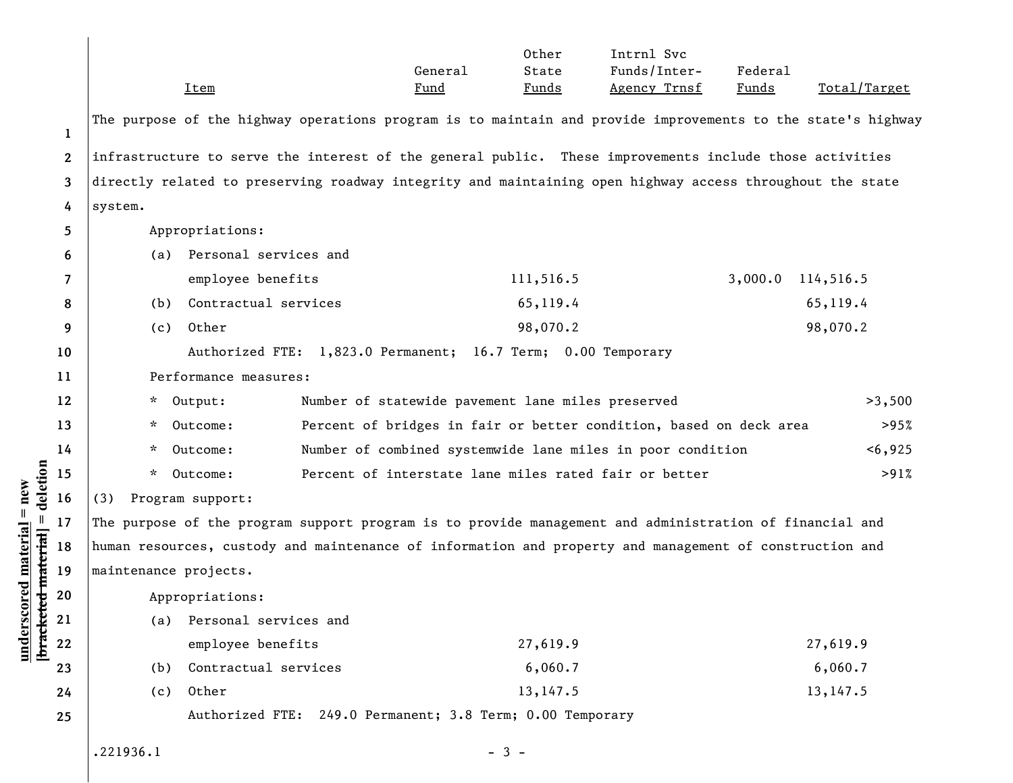|                              |                                                                                                                |                                                                                                              | <b>Item</b>                   |                                                           | General<br><u>Fund</u> | Other<br>State<br><u>Funds</u> | Intrnl Svc<br>Funds/Inter-<br>Agency Trnsf | Federal<br><u>Funds</u> | Total/Target         |
|------------------------------|----------------------------------------------------------------------------------------------------------------|--------------------------------------------------------------------------------------------------------------|-------------------------------|-----------------------------------------------------------|------------------------|--------------------------------|--------------------------------------------|-------------------------|----------------------|
|                              | 1                                                                                                              | The purpose of the highway operations program is to maintain and provide improvements to the state's highway |                               |                                                           |                        |                                |                                            |                         |                      |
|                              | $\bf 2$                                                                                                        | infrastructure to serve the interest of the general public. These improvements include those activities      |                               |                                                           |                        |                                |                                            |                         |                      |
|                              | directly related to preserving roadway integrity and maintaining open highway access throughout the state<br>3 |                                                                                                              |                               |                                                           |                        |                                |                                            |                         |                      |
|                              | 4                                                                                                              | system.                                                                                                      |                               |                                                           |                        |                                |                                            |                         |                      |
|                              | 5                                                                                                              | Appropriations:                                                                                              |                               |                                                           |                        |                                |                                            |                         |                      |
|                              | 6                                                                                                              | (a)                                                                                                          | Personal services and         |                                                           |                        |                                |                                            |                         |                      |
|                              | 7                                                                                                              |                                                                                                              | employee benefits             |                                                           |                        | 111,516.5                      |                                            | 3,000.0                 | 114,516.5            |
|                              | 8                                                                                                              | (b)                                                                                                          | Contractual services          |                                                           |                        | 65,119.4                       |                                            |                         | 65,119.4             |
|                              | 9                                                                                                              | (c)                                                                                                          | Other                         |                                                           |                        | 98,070.2                       |                                            |                         | 98,070.2             |
|                              | 10                                                                                                             | Authorized FTE: 1,823.0 Permanent; 16.7 Term; 0.00 Temporary                                                 |                               |                                                           |                        |                                |                                            |                         |                      |
|                              | 11                                                                                                             | Performance measures:                                                                                        |                               |                                                           |                        |                                |                                            |                         |                      |
|                              | 12                                                                                                             | Number of statewide pavement lane miles preserved<br>* Output:                                               |                               |                                                           |                        |                                |                                            | >3,500                  |                      |
|                              | 13                                                                                                             | Outcome:<br>Percent of bridges in fair or better condition, based on deck area<br>>95%<br>*.                 |                               |                                                           |                        |                                |                                            |                         |                      |
|                              | 14                                                                                                             | Number of combined systemwide lane miles in poor condition<br>*.<br>Outcome:                                 |                               |                                                           |                        |                                | < 6,925                                    |                         |                      |
| deletion                     | 15                                                                                                             | * Outcome:<br>Percent of interstate lane miles rated fair or better                                          |                               |                                                           |                        |                                |                                            | >91%                    |                      |
|                              | 16                                                                                                             | Program support:<br>(3)                                                                                      |                               |                                                           |                        |                                |                                            |                         |                      |
| $underscored material = new$ | 17                                                                                                             | The purpose of the program support program is to provide management and administration of financial and      |                               |                                                           |                        |                                |                                            |                         |                      |
|                              | 18                                                                                                             | human resources, custody and maintenance of information and property and management of construction and      |                               |                                                           |                        |                                |                                            |                         |                      |
| ed material                  | 19                                                                                                             | maintenance projects.                                                                                        |                               |                                                           |                        |                                |                                            |                         |                      |
|                              | 20                                                                                                             | Appropriations:                                                                                              |                               |                                                           |                        |                                |                                            |                         |                      |
| <b>bracket</b>               | 21                                                                                                             | (a)                                                                                                          | Personal services and         |                                                           |                        |                                |                                            |                         |                      |
|                              | $\bf 22$                                                                                                       |                                                                                                              | employee benefits             |                                                           |                        | 27,619.9                       |                                            |                         | 27,619.9             |
|                              | 23                                                                                                             | (b)                                                                                                          | Contractual services<br>Other |                                                           |                        | 6,060.7                        |                                            |                         | 6,060.7<br>13, 147.5 |
|                              | 24                                                                                                             | (c)                                                                                                          |                               | Authorized FTE: 249.0 Permanent; 3.8 Term; 0.00 Temporary |                        | 13, 147.5                      |                                            |                         |                      |
|                              | 25                                                                                                             |                                                                                                              |                               |                                                           |                        |                                |                                            |                         |                      |
|                              |                                                                                                                | .221936.1                                                                                                    |                               |                                                           | $-3-$                  |                                |                                            |                         |                      |